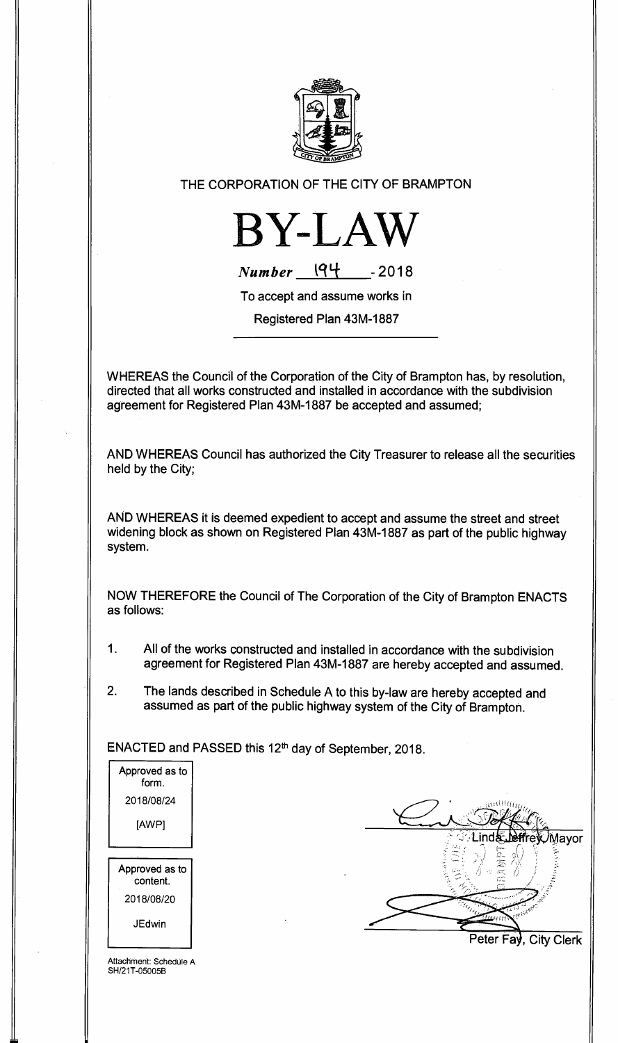

## **THE CORPORATION OF THE CITY OF BRAMPTON**



 $Number$   $194$   $-2018$ 

**To accept and assume works in** 

**Registered Plan 43M-1887** 

**WHEREAS the Council of the Corporation of the City of Brampton has, by resolution, directed that all works constructed and installed in accordance with the subdivision agreement for Registered Plan 43M-1887 be accepted and assumed;** 

**AND WHEREAS Council has authorized the City Treasurer to release all the securities held by the City;** 

**AND WHEREAS it is deemed expedient to accept and assume the street and street widening block as shown on Registered Plan 43M-1887 as part of the public highway system.** 

**NOW THEREFORE the Council of The Corporation of the City of Brampton ENACTS as follows:** 

- **1. All of the works constructed and installed in accordance with the subdivision agreement for Registered Plan 43M-1887 are hereby accepted and assumed.**
- **2. The lands described in Schedule A to this by-law are hereby accepted and assumed as part of the public highway system of the City of Brampton.**

ENACTED and PASSED this 12<sup>th</sup> day of September, 2018.

| Approved as to<br>form.    |  |
|----------------------------|--|
| 2018/08/24                 |  |
| [AWP]                      |  |
|                            |  |
| Approved as to<br>content. |  |
| 2018/08/20                 |  |
|                            |  |



Attachment: Schedule A SH/21T-05005B